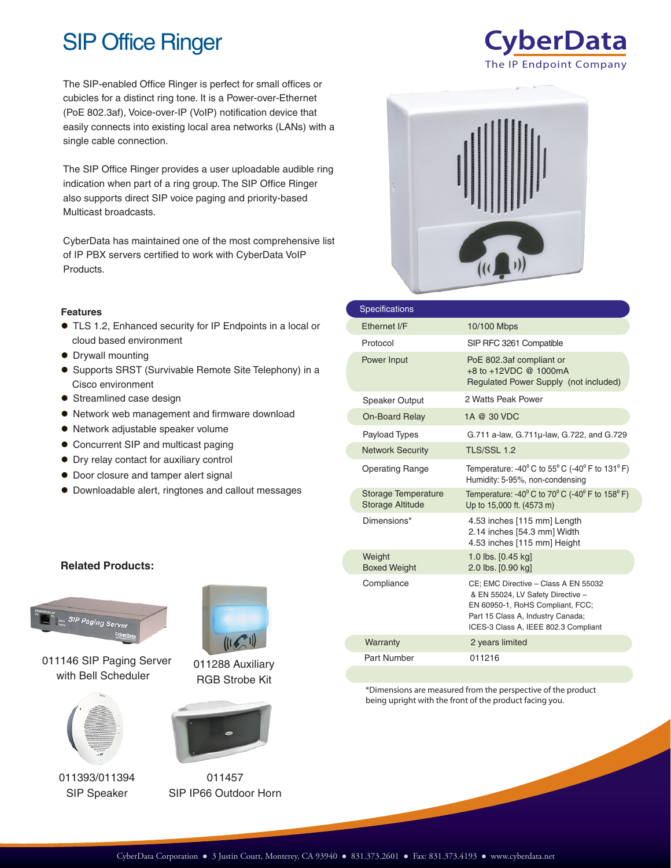# SIP Office Ringer

The SIP-enabled Office Ringer is perfect for small offices or cubicles for a distinct ring tone. It is a Power-over-Ethernet (PoE 802.3af), Voice-over-IP (VoIP) notification device that easily connects into existing local area networks (LANs) with a single cable connection.

The SIP Office Ringer provides a user uploadable audible ring indication when part of a ring group. The SIP Office Ringer also supports direct SIP voice paging and priority-based Multicast broadcasts.

CyberData has maintained one of the most comprehensive list of IP PBX servers certified to work with CyberData VoIP Products.

#### **Features**

- TLS 1.2, Enhanced security for IP Endpoints in a local or cloud based environment
- Drywall mounting
- Supports SRST (Survivable Remote Site Telephony) in a Cisco environment
- **•** Streamlined case design
- Network web management and firmware download
- Network adjustable speaker volume
- Concurrent SIP and multicast paging
- Dry relay contact for auxiliary control
- $\bullet$  Door closure and tamper alert signal
- Downloadable alert, ringtones and callout messages

#### **Related Products:**



011146 SIP Paging Server with Bell Scheduler



011393/011394 SIP Speaker



011288 Auxiliary RGB Strobe Kit



011457 SIP IP66 Outdoor Horn



| <b>Specifications</b>                                 |                                                                                                                                                                                            |
|-------------------------------------------------------|--------------------------------------------------------------------------------------------------------------------------------------------------------------------------------------------|
| Fthernet I/F                                          | 10/100 Mbps                                                                                                                                                                                |
| Protocol                                              | SIP RFC 3261 Compatible                                                                                                                                                                    |
| Power Input                                           | PoE 802.3af compliant or<br>+8 to +12VDC @ 1000mA<br>Regulated Power Supply (not included)                                                                                                 |
| <b>Speaker Output</b>                                 | 2 Watts Peak Power                                                                                                                                                                         |
| <b>On-Board Relay</b>                                 | 1A @ 30 VDC                                                                                                                                                                                |
| Payload Types                                         | G.711 a-law, G.711µ-law, G.722, and G.729                                                                                                                                                  |
| <b>Network Security</b>                               | <b>TLS/SSL 1.2</b>                                                                                                                                                                         |
| <b>Operating Range</b>                                | Temperature: -40 $^{\circ}$ C to 55 $^{\circ}$ C (-40 $^{\circ}$ F to 131 $^{\circ}$ F)<br>Humidity: 5-95%, non-condensing                                                                 |
| <b>Storage Temperature</b><br><b>Storage Altitude</b> | Temperature: -40 $^{\circ}$ C to 70 $^{\circ}$ C (-40 $^{\circ}$ F to 158 $^{\circ}$ F)<br>Up to 15,000 ft. (4573 m)                                                                       |
| Dimensions*                                           | 4.53 inches [115 mm] Length<br>2.14 inches [54.3 mm] Width<br>4.53 inches [115 mm] Height                                                                                                  |
| Weight<br><b>Boxed Weight</b>                         | 1.0 lbs. [0.45 kg]<br>2.0 lbs. [0.90 kg]                                                                                                                                                   |
| Compliance                                            | CE; EMC Directive - Class A EN 55032<br>& EN 55024, LV Safety Directive -<br>EN 60950-1, RoHS Compliant, FCC;<br>Part 15 Class A, Industry Canada;<br>ICES-3 Class A, IEEE 802.3 Compliant |
| Warranty                                              | 2 years limited                                                                                                                                                                            |
| Part Number                                           | 011216                                                                                                                                                                                     |

\*Dimensions are measured from the perspective of the product being upright with the front of the product facing you.